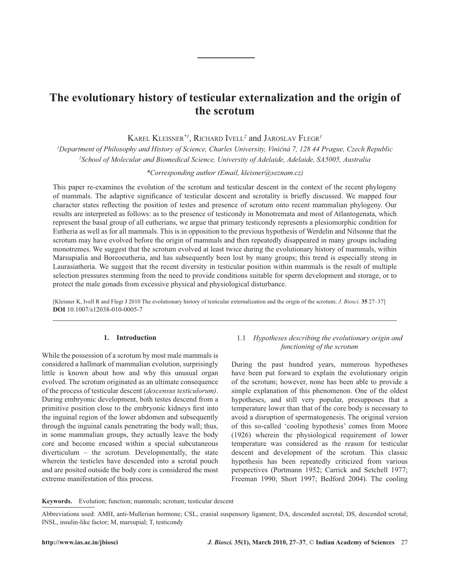# **the scrotum**

KAREL KLEISNER*\*1*, RICHARD IVELL*<sup>2</sup>* and JAROSLAV FLEGR*<sup>1</sup>*

*1 Department of Philosophy and History of Science, Charles University, Viničná 7, 128 44 Prague, Czech Republic 2 School of Molecular and Biomedical Science, University of Adelaide, Adelaide, SA5005, Australia*

*\*Corresponding author (Email, kleisner@seznam.cz)*

**The evolutionary history of testicular externalization and the origin of**<br> $\frac{1}{2}$ <br> $\frac{1}{2}$ <br> $\frac{1}{2}$ <br> $\frac{1}{2}$ <br> $\frac{1}{2}$ <br> $\frac{1}{2}$ <br> $\frac{1}{2}$ <br> $\frac{1}{2}$ <br> $\frac{1}{2}$ <br> $\frac{1}{2}$ <br> $\frac{1}{2}$ <br> $\frac{1}{2}$ <br> $\frac{1}{2}$ <br> $\frac{1}{2}$ <br> $\frac{1}{$ This paper re-examines the evolution of the scrotum and testicular descent in the context of the recent phylogeny of mammals. The adaptive significance of testicular descent and scrotality is briefly discussed. We mapped four character states reflecting the position of testes and presence of scrotum onto recent mammalian phylogeny. Our results are interpreted as follows: as to the presence of testicondy in Monotremata and most of Atlantogenata, which represent the basal group of all eutherians, we argue that primary testicondy represents a plesiomorphic condition for Eutheria as well as for all mammals. This is in opposition to the previous hypothesis of Werdelin and Nilsonne that the scrotum may have evolved before the origin of mammals and then repeatedly disappeared in many groups including monotremes. We suggest that the scrotum evolved at least twice during the evolutionary history of mammals, within Marsupialia and Boreoeutheria, and has subsequently been lost by many groups; this trend is especially strong in Laurasiatheria. We suggest that the recent diversity in testicular position within mammals is the result of multiple selection pressures stemming from the need to provide conditions suitable for sperm development and storage, or to protect the male gonads from excessive physical and physiological disturbance.

[Kleisner K, Ivell R and Flegr J 2010 The evolutionary history of testicular externalization and the origin of the scrotum; *J. Biosci.* **35** 27–37] **DOI** 10.1007/s12038-010-0005-7

#### **1. Introduction**

While the possession of a scrotum by most male mammals is considered a hallmark of mammalian evolution, surprisingly little is known about how and why this unusual organ evolved. The scrotum originated as an ultimate consequence of the process of testicular descent (*descensus testiculorum)*. During embryonic development, both testes descend from a primitive position close to the embryonic kidneys first into the inguinal region of the lower abdomen and subsequently through the inguinal canals penetrating the body wall; thus, in some mammalian groups, they actually leave the body core and become encased within a special subcutaneous diverticulum – the scrotum. Developmentally, the state wherein the testicles have descended into a scrotal pouch and are posited outside the body core is considered the most extreme manifestation of this process.

## 1.1 *Hypotheses describing the evolutionary origin and functioning of the scrotum*

During the past hundred years, numerous hypotheses have been put forward to explain the evolutionary origin of the scrotum; however, none has been able to provide a simple explanation of this phenomenon. One of the oldest hypotheses, and still very popular, presupposes that a temperature lower than that of the core body is necessary to avoid a disruption of spermatogenesis. The original version of this so-called 'cooling hypothesis' comes from Moore (1926) wherein the physiological requirement of lower temperature was considered as the reason for testicular descent and development of the scrotum. This classic hypothesis has been repeatedly criticized from various perspectives (Portmann 1952; Carrick and Setchell 1977; Freeman 1990; Short 1997; Bedford 2004). The cooling

**Keywords.** Evolution; function; mammals; scrotum; testicular descent

Abbreviations used: AMH, anti-Mullerian hormone; CSL, cranial suspensory ligament; DA, descended ascrotal; DS, descended scrotal; INSL, insulin-like factor; M, marsupial; T, testicondy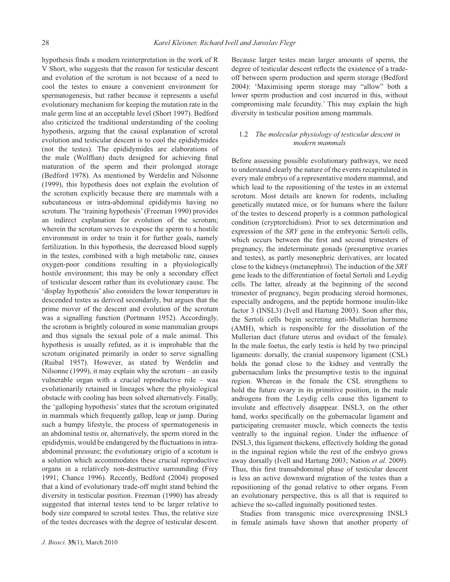hypothesis finds a modern reinterpretation in the work of R V Short, who suggests that the reason for testicular descent and evolution of the scrotum is not because of a need to cool the testes to ensure a convenient environment for spermatogenesis, but rather because it represents a useful evolutionary mechanism for keeping the mutation rate in the male germ line at an acceptable level (Short 1997). Bedford also criticized the traditional understanding of the cooling hypothesis, arguing that the causal explanation of scrotal evolution and testicular descent is to cool the epididymides (not the testes). The epididymides are elaborations of the male (Wolffian) ducts designed for achieving final maturation of the sperm and their prolonged storage (Bedford 1978). As mentioned by Werdelin and Nilsonne (1999), this hypothesis does not explain the evolution of the scrotum explicitly because there are mammals with a subcutaneous or intra-abdominal epididymis having no scrotum. The 'training hypothesis' (Freeman 1990) provides an indirect explanation for evolution of the scrotum; wherein the scrotum serves to expose the sperm to a hostile environment in order to train it for further goals, namely fertilization. In this hypothesis, the decreased blood supply in the testes, combined with a high metabolic rate, causes oxygen-poor conditions resulting in a physiologically hostile environment; this may be only a secondary effect of testicular descent rather than its evolutionary cause. The 'display hypothesis' also considers the lower temperature in descended testes as derived secondarily, but argues that the prime mover of the descent and evolution of the scrotum was a signalling function (Portmann 1952). Accordingly, the scrotum is brightly coloured in some mammalian groups and thus signals the sexual pole of a male animal. This hypothesis is usually refuted, as it is improbable that the scrotum originated primarily in order to serve signalling (Ruibal 1957). However, as stated by Werdelin and Nilsonne (1999), it may explain why the scrotum – an easily vulnerable organ with a crucial reproductive role – was evolutionarily retained in lineages where the physiological obstacle with cooling has been solved alternatively. Finally, the 'galloping hypothesis' states that the scrotum originated in mammals which frequently gallop, leap or jump. During such a bumpy lifestyle, the process of spermatogenesis in an abdominal testis or, alternatively, the sperm stored in the epididymis, would be endangered by the fluctuations in intraabdominal pressure; the evolutionary origin of a scrotum is a solution which accommodates these crucial reproductive organs in a relatively non-destructive surrounding (Frey 1991; Chance 1996). Recently, Bedford (2004) proposed that a kind of evolutionary trade-off might stand behind the diversity in testicular position. Freeman (1990) has already suggested that internal testes tend to be larger relative to body size compared to scrotal testes. Thus, the relative size of the testes decreases with the degree of testicular descent. Because larger testes mean larger amounts of sperm, the degree of testicular descent reflects the existence of a tradeoff between sperm production and sperm storage (Bedford 2004): 'Maximising sperm storage may "allow" both a lower sperm production and cost incurred in this, without compromising male fecundity.' This may explain the high diversity in testicular position among mammals.

### 1.2 *The molecular physiology of testicular descent in modern mammals*

Before assessing possible evolutionary pathways, we need to understand clearly the nature of the events recapitulated in every male embryo of a representative modern mammal, and which lead to the repositioning of the testes in an external scrotum. Most details are known for rodents, including genetically mutated mice, or for humans where the failure of the testes to descend properly is a common pathological condition (cryptorchidism). Prior to sex determination and expression of the *SRY* gene in the embryonic Sertoli cells, which occurs between the first and second trimesters of pregnancy, the indeterminate gonads (presumptive ovaries and testes), as partly mesonephric derivatives, are located close to the kidneys (metanephroi). The induction of the *SRY* gene leads to the differentiation of foetal Sertoli and Leydig cells. The latter, already at the beginning of the second trimester of pregnancy, begin producing steroid hormones, especially androgens, and the peptide hormone insulin-like factor 3 (INSL3) (Ivell and Hartung 2003). Soon after this, the Sertoli cells begin secreting anti-Mullerian hormone (AMH), which is responsible for the dissolution of the Mullerian duct (future uterus and oviduct of the female). In the male foetus, the early testis is held by two principal ligaments: dorsally, the cranial suspensory ligament (CSL) holds the gonad close to the kidney and ventrally the gubernaculum links the presumptive testis to the inguinal region. Whereas in the female the CSL strengthens to hold the future ovary in its primitive position, in the male androgens from the Leydig cells cause this ligament to involute and effectively disappear. INSL3, on the other hand, works specifically on the gubernacular ligament and participating cremaster muscle, which connects the testis ventrally to the inguinal region. Under the influence of INSL3, this ligament thickens, effectively holding the gonad in the inguinal region while the rest of the embryo grows away dorsally (Ivell and Hartung 2003; Nation *et al.* 2009). Thus, this first transabdominal phase of testicular descent is less an active downward migration of the testes than a repositioning of the gonad relative to other organs. From an evolutionary perspective, this is all that is required to achieve the so-called inguinally positioned testes.

Studies from transgenic mice overexpressing INSL3 in female animals have shown that another property of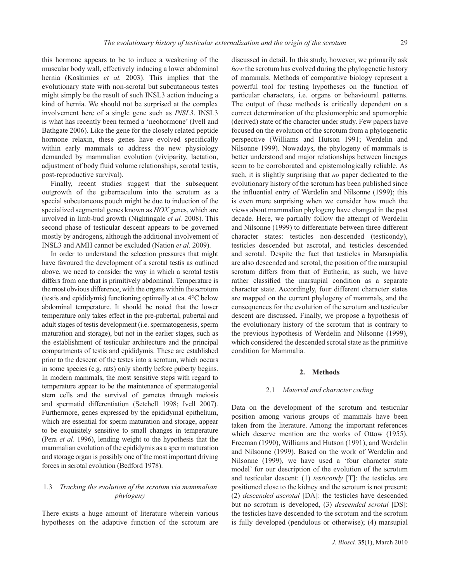this hormone appears to be to induce a weakening of the muscular body wall, effectively inducing a lower abdominal hernia (Koskimies *et al.* 2003). This implies that the evolutionary state with non-scrotal but subcutaneous testes might simply be the result of such INSL3 action inducing a kind of hernia. We should not be surprised at the complex involvement here of a single gene such as *INSL3*. INSL3 is what has recently been termed a 'neohormone' (Ivell and Bathgate 2006). Like the gene for the closely related peptide hormone relaxin, these genes have evolved specifically within early mammals to address the new physiology demanded by mammalian evolution (viviparity, lactation, adjustment of body fluid volume relationships, scrotal testis, post-reproductive survival).

Finally, recent studies suggest that the subsequent outgrowth of the gubernaculum into the scrotum as a special subcutaneous pouch might be due to induction of the specialized segmental genes known as *HOX* genes, which are involved in limb-bud growth (Nightingale *et al.* 2008). This second phase of testicular descent appears to be governed mostly by androgens, although the additional involvement of INSL3 and AMH cannot be excluded (Nation *et al.* 2009).

In order to understand the selection pressures that might have favoured the development of a scrotal testis as outlined above, we need to consider the way in which a scrotal testis differs from one that is primitively abdominal. Temperature is the most obvious difference, with the organs within the scrotum (testis and epididymis) functioning optimally at ca. 4°C below abdominal temperature. It should be noted that the lower temperature only takes effect in the pre-pubertal, pubertal and adult stages of testis development (i.e. spermatogenesis, sperm maturation and storage), but not in the earlier stages, such as the establishment of testicular architecture and the principal compartments of testis and epididymis. These are established prior to the descent of the testes into a scrotum, which occurs in some species (e.g. rats) only shortly before puberty begins. In modern mammals, the most sensitive steps with regard to temperature appear to be the maintenance of spermatogonial stem cells and the survival of gametes through meiosis and spermatid differentiation (Setchell 1998; Ivell 2007). Furthermore, genes expressed by the epididymal epithelium, which are essential for sperm maturation and storage, appear to be exquisitely sensitive to small changes in temperature (Pera *et al.* 1996), lending weight to the hypothesis that the mammalian evolution of the epididymis as a sperm maturation and storage organ is possibly one of the most important driving forces in scrotal evolution (Bedford 1978).

## 1.3 *Tracking the evolution of the scrotum via mammalian phylogeny*

There exists a huge amount of literature wherein various hypotheses on the adaptive function of the scrotum are discussed in detail. In this study, however, we primarily ask *how* the scrotum has evolved during the phylogenetic history of mammals. Methods of comparative biology represent a powerful tool for testing hypotheses on the function of particular characters, i.e. organs or behavioural patterns. The output of these methods is critically dependent on a correct determination of the plesiomorphic and apomorphic (derived) state of the character under study. Few papers have focused on the evolution of the scrotum from a phylogenetic perspective (Williams and Hutson 1991; Werdelin and Nilsonne 1999). Nowadays, the phylogeny of mammals is better understood and major relationships between lineages seem to be corroborated and epistemologically reliable. As such, it is slightly surprising that *no* paper dedicated to the evolutionary history of the scrotum has been published since the influential entry of Werdelin and Nilsonne (1999); this is even more surprising when we consider how much the views about mammalian phylogeny have changed in the past decade. Here, we partially follow the attempt of Werdelin and Nilsonne (1999) to differentiate between three different character states: testicles non-descended (testicondy), testicles descended but ascrotal, and testicles descended and scrotal. Despite the fact that testicles in Marsupialia are also descended and scrotal, the position of the marsupial scrotum differs from that of Eutheria; as such, we have rather classified the marsupial condition as a separate character state. Accordingly, four different character states are mapped on the current phylogeny of mammals, and the consequences for the evolution of the scrotum and testicular descent are discussed. Finally, we propose a hypothesis of the evolutionary history of the scrotum that is contrary to the previous hypothesis of Werdelin and Nilsonne (1999), which considered the descended scrotal state as the primitive condition for Mammalia.

#### **2. Methods**

#### 2.1 *Material and character coding*

Data on the development of the scrotum and testicular position among various groups of mammals have been taken from the literature. Among the important references which deserve mention are the works of Ottow (1955), Freeman (1990), Williams and Hutson (1991), and Werdelin and Nilsonne (1999). Based on the work of Werdelin and Nilsonne (1999), we have used a 'four character state model' for our description of the evolution of the scrotum and testicular descent: (1) *testicondy* [T]: the testicles are positioned close to the kidney and the scrotum is not present; (2) *descended ascrotal* [DA]: the testicles have descended but no scrotum is developed, (3) *descended scrotal* [DS]: the testicles have descended to the scrotum and the scrotum is fully developed (pendulous or otherwise); (4) marsupial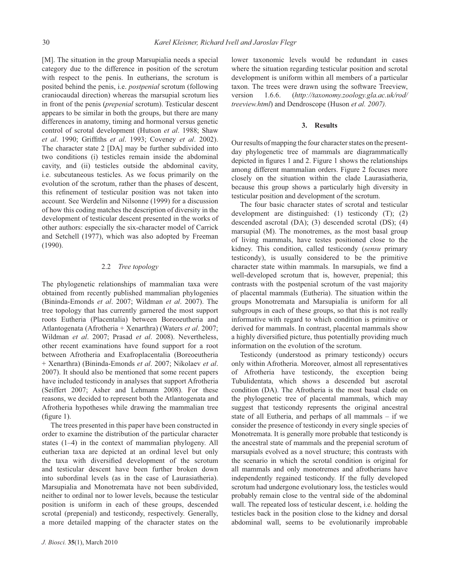[M]. The situation in the group Marsupialia needs a special category due to the difference in position of the scrotum with respect to the penis. In eutherians, the scrotum is posited behind the penis, i.e. *postpenial* scrotum (following craniocaudal direction) whereas the marsupial scrotum lies in front of the penis (*prepenial* scrotum). Testicular descent appears to be similar in both the groups, but there are many differences in anatomy, timing and hormonal versus genetic control of scrotal development (Hutson *et al*. 1988; Shaw *et al.* 1990; Griffiths *et al.* 1993; Coveney *et al.* 2002). The character state 2 [DA] may be further subdivided into two conditions (i) testicles remain inside the abdominal cavity, and (ii) testicles outside the abdominal cavity, i.e. subcutaneous testicles. As we focus primarily on the evolution of the scrotum, rather than the phases of descent, this refinement of testicular position was not taken into account. See Werdelin and Nilsonne (1999) for a discussion of how this coding matches the description of diversity in the development of testicular descent presented in the works of other authors: especially the six-character model of Carrick and Setchell (1977), which was also adopted by Freeman (1990).

#### 2.2 *Tree topology*

The phylogenetic relationships of mammalian taxa were obtained from recently published mammalian phylogenies (Bininda-Emonds *et al*. 2007; Wildman *et al*. 2007). The tree topology that has currently garnered the most support roots Eutheria (Placentalia) between Boreoeutheria and Atlantogenata (Afrotheria + Xenarthra) (Waters *et al*. 2007; Wildman *et al*. 2007; Prasad *et al*. 2008). Nevertheless, other recent examinations have found support for a root between Afrotheria and Exafroplacentalia (Boreoeutheria + Xenarthra) (Bininda-Emonds *et al*. 2007; Nikolaev *et al*. 2007). It should also be mentioned that some recent papers have included testicondy in analyses that support Afrotheria (Seiffert 2007; Asher and Lehmann 2008). For these reasons, we decided to represent both the Atlantogenata and Afrotheria hypotheses while drawing the mammalian tree  $(figure 1)$ .

The trees presented in this paper have been constructed in order to examine the distribution of the particular character states (1–4) in the context of mammalian phylogeny. All eutherian taxa are depicted at an ordinal level but only the taxa with diversified development of the scrotum and testicular descent have been further broken down into subordinal levels (as in the case of Laurasiatheria). Marsupialia and Monotremata have not been subdivided, neither to ordinal nor to lower levels, because the testicular position is uniform in each of these groups, descended scrotal (prepenial) and testicondy, respectively. Generally, a more detailed mapping of the character states on the lower taxonomic levels would be redundant in cases where the situation regarding testicular position and scrotal development is uniform within all members of a particular taxon. The trees were drawn using the software Treeview, version 1.6.6. (*http://taxonomy.zoology.gla.ac.uk/rod/ treeview.html*) and Dendroscope (Huson *et al. 2007).*

#### **3. Results**

Our results of mapping the four character states on the presentday phylogenetic tree of mammals are diagrammatically depicted in figures 1 and 2. Figure 1 shows the relationships among different mammalian orders. Figure 2 focuses more closely on the situation within the clade Laurasiatheria, because this group shows a particularly high diversity in testicular position and development of the scrotum.

The four basic character states of scrotal and testicular development are distinguished: (1) testicondy (T); (2) descended ascrotal (DA); (3) descended scrotal (DS); (4) marsupial (M). The monotremes, as the most basal group of living mammals, have testes positioned close to the kidney. This condition, called testicondy (*sensu* primary testicondy), is usually considered to be the primitive character state within mammals. In marsupials, we find a well-developed scrotum that is, however, prepenial; this contrasts with the postpenial scrotum of the vast majority of placental mammals (Eutheria). The situation within the groups Monotremata and Marsupialia is uniform for all subgroups in each of these groups, so that this is not really informative with regard to which condition is primitive or derived for mammals. In contrast, placental mammals show a highly diversified picture, thus potentially providing much information on the evolution of the scrotum.

Testicondy (understood as primary testicondy) occurs only within Afrotheria. Moreover, almost all representatives of Afrotheria have testicondy, the exception being Tubulidentata, which shows a descended but ascrotal condition (DA). The Afrotheria is the most basal clade on the phylogenetic tree of placental mammals, which may suggest that testicondy represents the original ancestral state of all Eutheria, and perhaps of all mammals – if we consider the presence of testicondy in every single species of Monotremata. It is generally more probable that testicondy is the ancestral state of mammals and the prepenial scrotum of marsupials evolved as a novel structure; this contrasts with the scenario in which the scrotal condition is original for all mammals and only monotremes and afrotherians have independently regained testicondy. If the fully developed scrotum had undergone evolutionary loss, the testicles would probably remain close to the ventral side of the abdominal wall. The repeated loss of testicular descent, i.e. holding the testicles back in the position close to the kidney and dorsal abdominal wall, seems to be evolutionarily improbable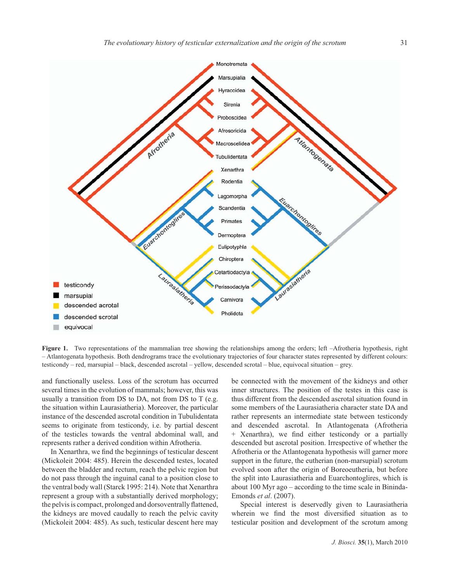

Figure 1. Two representations of the mammalian tree showing the relationships among the orders; left –Afrotheria hypothesis, right – Atlantogenata hypothesis. Both dendrograms trace the evolutionary trajectories of four character states represented by different colours: testicondy – red, marsupial – black, descended ascrotal – yellow, descended scrotal – blue, equivocal situation – grey.

and functionally useless. Loss of the scrotum has occurred several times in the evolution of mammals; however, this was usually a transition from DS to DA, not from DS to T (e.g. the situation within Laurasiatheria). Moreover, the particular instance of the descended ascrotal condition in Tubulidentata seems to originate from testicondy, i.e. by partial descent of the testicles towards the ventral abdominal wall, and represents rather a derived condition within Afrotheria.

In Xenarthra, we find the beginnings of testicular descent (Mickoleit 2004: 485). Herein the descended testes, located between the bladder and rectum, reach the pelvic region but do not pass through the inguinal canal to a position close to the ventral body wall (Starck 1995: 214). Note that Xenarthra represent a group with a substantially derived morphology; the pelvis is compact, prolonged and dorsoventrally flattened, the kidneys are moved caudally to reach the pelvic cavity (Mickoleit 2004: 485). As such, testicular descent here may be connected with the movement of the kidneys and other inner structures. The position of the testes in this case is thus different from the descended ascrotal situation found in some members of the Laurasiatheria character state DA and rather represents an intermediate state between testicondy and descended ascrotal. In Atlantogenata (Afrotheria  $+$  Xenarthra), we find either testicondy or a partially descended but ascrotal position. Irrespective of whether the Afrotheria or the Atlantogenata hypothesis will garner more support in the future, the eutherian (non-marsupial) scrotum evolved soon after the origin of Boreoeutheria, but before the split into Laurasiatheria and Euarchontoglires, which is about 100 Myr ago – according to the time scale in Bininda-Emonds *et al*. (2007).

Special interest is deservedly given to Laurasiatheria wherein we find the most diversified situation as to testicular position and development of the scrotum among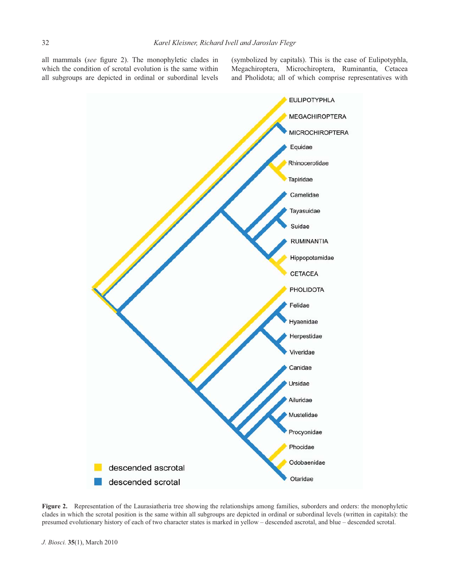all mammals (*see* figure 2). The monophyletic clades in which the condition of scrotal evolution is the same within all subgroups are depicted in ordinal or subordinal levels

(symbolized by capitals). This is the case of Eulipotyphla, Megachiroptera, Microchiroptera, Ruminantia, Cetacea and Pholidota; all of which comprise representatives with



**Figure 2.** Representation of the Laurasiatheria tree showing the relationships among families, suborders and orders: the monophyletic clades in which the scrotal position is the same within all subgroups are depicted in ordinal or subordinal levels (written in capitals): the presumed evolutionary history of each of two character states is marked in yellow – descended ascrotal, and blue – descended scrotal.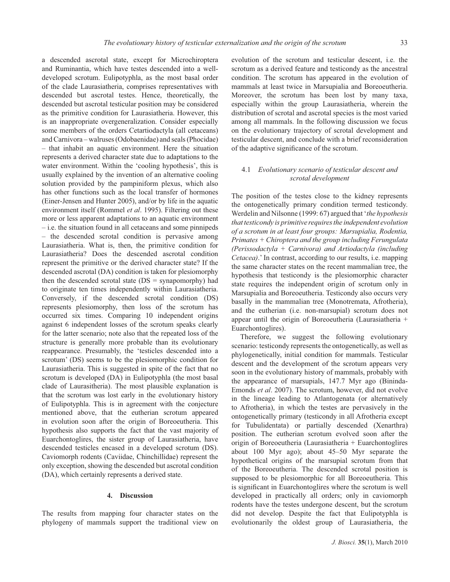a descended ascrotal state, except for Microchiroptera and Ruminantia, which have testes descended into a welldeveloped scrotum. Eulipotyphla, as the most basal order of the clade Laurasiatheria, comprises representatives with descended but ascrotal testes. Hence, theoretically, the descended but ascrotal testicular position may be considered as the primitive condition for Laurasiatheria. However, this is an inappropriate overgeneralization. Consider especially some members of the orders Cetartiodactyla (all cetaceans) and Carnivora – walruses (Odobaenidae) and seals (Phocidae) – that inhabit an aquatic environment. Here the situation represents a derived character state due to adaptations to the water environment. Within the 'cooling hypothesis', this is usually explained by the invention of an alternative cooling solution provided by the pampiniform plexus, which also has other functions such as the local transfer of hormones (Einer-Jensen and Hunter 2005), and/or by life in the aquatic environment itself (Rommel *et al*. 1995). Filtering out these more or less apparent adaptations to an aquatic environment – i.e. the situation found in all cetaceans and some pinnipeds – the descended scrotal condition is pervasive among Laurasiatheria. What is, then, the primitive condition for Laurasiatheria? Does the descended ascrotal condition represent the primitive or the derived character state? If the descended ascrotal (DA) condition is taken for plesiomorphy then the descended scrotal state (DS = synapomorphy) had to originate ten times independently within Laurasiatheria. Conversely, if the descended scrotal condition (DS) represents plesiomorphy, then loss of the scrotum has occurred six times. Comparing 10 independent origins against 6 independent losses of the scrotum speaks clearly for the latter scenario; note also that the repeated loss of the structure is generally more probable than its evolutionary reappearance. Presumably, the 'testicles descended into a scrotum' (DS) seems to be the plesiomorphic condition for Laurasiatheria. This is suggested in spite of the fact that no scrotum is developed (DA) in Eulipotyphla (the most basal clade of Laurasitheria). The most plausible explanation is that the scrotum was lost early in the evolutionary history of Eulipotyphla. This is in agreement with the conjecture mentioned above, that the eutherian scrotum appeared in evolution soon after the origin of Boreoeutheria. This hypothesis also supports the fact that the vast majority of Euarchontoglires, the sister group of Laurasiatheria, have descended testicles encased in a developed scrotum (DS). Caviomorph rodents (Caviidae, Chinchillidae) represent the only exception, showing the descended but ascrotal condition (DA), which certainly represents a derived state.

## **4. Discussion**

The results from mapping four character states on the phylogeny of mammals support the traditional view on evolution of the scrotum and testicular descent, i.e. the scrotum as a derived feature and testicondy as the ancestral condition. The scrotum has appeared in the evolution of mammals at least twice in Marsupialia and Boreoeutheria. Moreover, the scrotum has been lost by many taxa, especially within the group Laurasiatheria, wherein the distribution of scrotal and ascrotal species is the most varied among all mammals. In the following discussion we focus on the evolutionary trajectory of scrotal development and testicular descent, and conclude with a brief reconsideration of the adaptive significance of the scrotum.

## 4.1 *Evolutionary scenario of testicular descent and scrotal development*

The position of the testes close to the kidney represents the ontogenetically primary condition termed testicondy. Werdelin and Nilsonne (1999: 67) argued that '*the hypothesis that testicondy is primitive requires the independent evolution of a scrotum in at least four groups: Marsupialia, Rodentia, Primates + Chiroptera and the group including Ferungulata (Perissodactyla + Carnivora) and Artiodactyla (including Cetacea)*.' In contrast, according to our results, i.e. mapping the same character states on the recent mammalian tree, the hypothesis that testicondy is the plesiomorphic character state requires the independent origin of scrotum only in Marsupialia and Boreoeutheria. Testicondy also occurs very basally in the mammalian tree (Monotremata, Afrotheria), and the eutherian (i.e. non-marsupial) scrotum does not appear until the origin of Boreoeutheria (Laurasiatheria + Euarchontoglires).

Therefore, we suggest the following evolutionary scenario: testicondy represents the ontogenetically, as well as phylogenetically, initial condition for mammals. Testicular descent and the development of the scrotum appears very soon in the evolutionary history of mammals, probably with the appearance of marsupials, 147.7 Myr ago (Bininda-Emonds *et al*. 2007). The scrotum, however, did not evolve in the lineage leading to Atlantogenata (or alternatively to Afrotheria), in which the testes are pervasively in the ontogenetically primary (testicondy in all Afrotheria except for Tubulidentata) or partially descended (Xenarthra) position. The eutherian scrotum evolved soon after the origin of Boreoeutheria (Laurasiatheria + Euarchontoglires about 100 Myr ago); about 45–50 Myr separate the hypothetical origins of the marsupial scrotum from that of the Boreoeutheria. The descended scrotal position is supposed to be plesiomorphic for all Boreoeutheria. This is significant in Euarchontoglires where the scrotum is well developed in practically all orders; only in caviomorph rodents have the testes undergone descent, but the scrotum did not develop. Despite the fact that Eulipotyphla is evolutionarily the oldest group of Laurasiatheria, the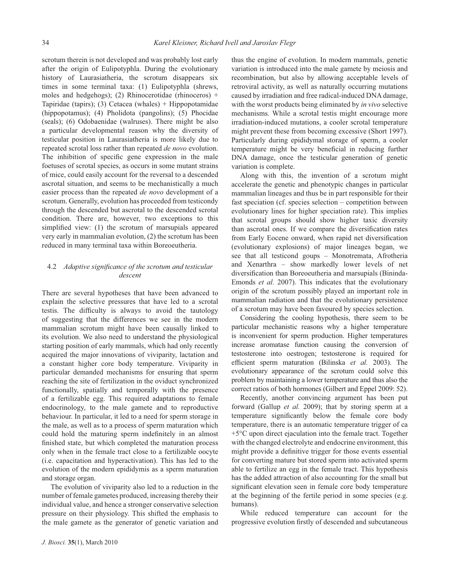scrotum therein is not developed and was probably lost early after the origin of Eulipotyphla. During the evolutionary history of Laurasiatheria, the scrotum disappears six times in some terminal taxa: (1) Eulipotyphla (shrews, moles and hedgehogs); (2) Rhinocerotidae (rhinoceros) + Tapiridae (tapirs); (3) Cetacea (whales) + Hippopotamidae (hippopotamus); (4) Pholidota (pangolins); (5) Phocidae (seals); (6) Odobaenidae (walruses). There might be also a particular developmental reason why the diversity of testicular position in Laurasiatheria is more likely due to repeated scrotal loss rather than repeated *de novo* evolution. The inhibition of specific gene expression in the male foetuses of scrotal species, as occurs in some mutant strains of mice, could easily account for the reversal to a descended ascrotal situation, and seems to be mechanistically a much easier process than the repeated *de novo* development of a scrotum. Generally, evolution has proceeded from testicondy through the descended but ascrotal to the descended scrotal condition. There are, however, two exceptions to this simplified view: (1) the scrotum of marsupials appeared very early in mammalian evolution, (2) the scrotum has been reduced in many terminal taxa within Boreoeutheria.

## 4.2 Adaptive significance of the scrotum and testicular *descent*

There are several hypotheses that have been advanced to explain the selective pressures that have led to a scrotal testis. The difficulty is always to avoid the tautology of suggesting that the differences we see in the modern mammalian scrotum might have been causally linked to its evolution. We also need to understand the physiological starting position of early mammals, which had only recently acquired the major innovations of viviparity, lactation and a constant higher core body temperature. Viviparity in particular demanded mechanisms for ensuring that sperm reaching the site of fertilization in the oviduct synchronized functionally, spatially and temporally with the presence of a fertilizable egg. This required adaptations to female endocrinology, to the male gamete and to reproductive behaviour. In particular, it led to a need for sperm storage in the male, as well as to a process of sperm maturation which could hold the maturing sperm indefinitely in an almost finished state, but which completed the maturation process only when in the female tract close to a fertilizable oocyte (i.e. capacitation and hyperactivation). This has led to the evolution of the modern epididymis as a sperm maturation and storage organ.

The evolution of viviparity also led to a reduction in the number of female gametes produced, increasing thereby their individual value, and hence a stronger conservative selection pressure on their physiology. This shifted the emphasis to the male gamete as the generator of genetic variation and thus the engine of evolution. In modern mammals, genetic variation is introduced into the male gamete by meiosis and recombination, but also by allowing acceptable levels of retroviral activity, as well as naturally occurring mutations caused by irradiation and free radical-induced DNA damage, with the worst products being eliminated by *in vivo* selective mechanisms. While a scrotal testis might encourage more irradiation-induced mutations, a cooler scrotal temperature might prevent these from becoming excessive (Short 1997). Particularly during epididymal storage of sperm, a cooler temperature might be very beneficial in reducing further DNA damage, once the testicular generation of genetic variation is complete.

Along with this, the invention of a scrotum might accelerate the genetic and phenotypic changes in particular mammalian lineages and thus be in part responsible for their fast speciation (cf. species selection – competition between evolutionary lines for higher speciation rate). This implies that scrotal groups should show higher taxic diversity than ascrotal ones. If we compare the diversification rates from Early Eocene onward, when rapid net diversification (evolutionary explosions) of major lineages began, we see that all testicond goups – Monotremata, Afrotheria and Xenarthra – show markedly lower levels of net diversification than Boreoeutheria and marsupials (Bininda-Emonds *et al.* 2007). This indicates that the evolutionary origin of the scrotum possibly played an important role in mammalian radiation and that the evolutionary persistence of a scrotum may have been favoured by species selection.

Considering the cooling hypothesis, there seem to be particular mechanistic reasons why a higher temperature is inconvenient for sperm production. Higher temperatures increase aromatase function causing the conversion of testosterone into oestrogen; testosterone is required for efficient sperm maturation (Bilinska *et al.* 2003). The evolutionary appearance of the scrotum could solve this problem by maintaining a lower temperature and thus also the correct ratios of both hormones (Gilbert and Eppel 2009: 52).

Recently, another convincing argument has been put forward (Gallup *et al.* 2009); that by storing sperm at a temperature significantly below the female core body temperature, there is an automatic temperature trigger of ca +5°C upon direct ejaculation into the female tract. Together with the changed electrolyte and endocrine environment, this might provide a definitive trigger for those events essential for converting mature but stored sperm into activated sperm able to fertilize an egg in the female tract. This hypothesis has the added attraction of also accounting for the small but significant elevation seen in female core body temperature at the beginning of the fertile period in some species (e.g. humans).

While reduced temperature can account for the progressive evolution firstly of descended and subcutaneous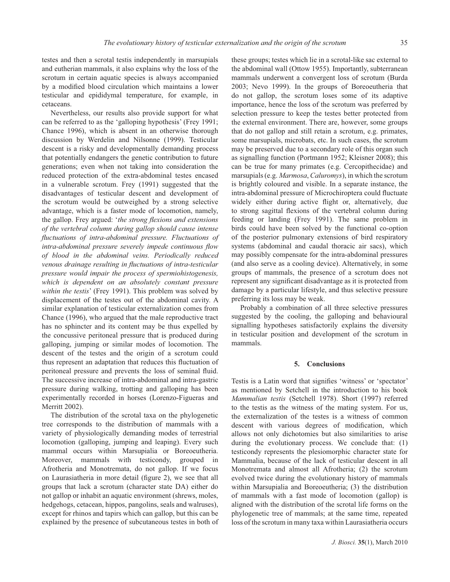testes and then a scrotal testis independently in marsupials and eutherian mammals, it also explains why the loss of the scrotum in certain aquatic species is always accompanied by a modified blood circulation which maintains a lower testicular and epididymal temperature, for example, in cetaceans.

Nevertheless, our results also provide support for what can be referred to as the 'galloping hypothesis' (Frey 1991; Chance 1996), which is absent in an otherwise thorough discussion by Werdelin and Nilsonne (1999). Testicular descent is a risky and developmentally demanding process that potentially endangers the genetic contribution to future generations; even when not taking into consideration the reduced protection of the extra-abdominal testes encased in a vulnerable scrotum. Frey (1991) suggested that the disadvantages of testicular descent and development of the scrotum would be outweighed by a strong selective advantage, which is a faster mode of locomotion, namely, the gallop. Frey argued: 'the strong flexions and extensions *of the vertebral column during gallop should cause intense*  fluctuations of intra-abdominal pressure. Fluctuations of intra-abdominal pressure severely impede continuous flow *of blood in the abdominal veins. Periodically reduced venous drainage resulting in fluctuations of intra-testicular pressure would impair the process of spermiohistogenesis, which is dependent on an absolutely constant pressure within the testis*' (Frey 1991). This problem was solved by displacement of the testes out of the abdominal cavity. A similar explanation of testicular externalization comes from Chance (1996), who argued that the male reproductive tract has no sphincter and its content may be thus expelled by the concussive peritoneal pressure that is produced during galloping, jumping or similar modes of locomotion. The descent of the testes and the origin of a scrotum could thus represent an adaptation that reduces this fluctuation of peritoneal pressure and prevents the loss of seminal fluid. The successive increase of intra-abdominal and intra-gastric pressure during walking, trotting and galloping has been experimentally recorded in horses (Lorenzo-Figueras and Merritt 2002).

The distribution of the scrotal taxa on the phylogenetic tree corresponds to the distribution of mammals with a variety of physiologically demanding modes of terrestrial locomotion (galloping, jumping and leaping). Every such mammal occurs within Marsupialia or Boreoeutheria. Moreover, mammals with testicondy, grouped in Afrotheria and Monotremata, do not gallop. If we focus on Laurasiatheria in more detail (figure 2), we see that all groups that lack a scrotum (character state DA) either do not gallop or inhabit an aquatic environment (shrews, moles, hedgehogs, cetacean, hippos, pangolins, seals and walruses), except for rhinos and tapirs which can gallop, but this can be explained by the presence of subcutaneous testes in both of these groups; testes which lie in a scrotal-like sac external to the abdominal wall (Ottow 1955). Importantly, subterranean mammals underwent a convergent loss of scrotum (Burda 2003; Nevo 1999). In the groups of Boreoeutheria that do not gallop, the scrotum loses some of its adaptive importance, hence the loss of the scrotum was preferred by selection pressure to keep the testes better protected from the external environment. There are, however, some groups that do not gallop and still retain a scrotum, e.g. primates, some marsupials, microbats, etc. In such cases, the scrotum may be preserved due to a secondary role of this organ such as signalling function (Portmann 1952; Kleisner 2008); this can be true for many primates (e.g. Cercopithecidae) and marsupials (e.g. *Marmosa*, *Caluromys*), in which the scrotum is brightly coloured and visible. In a separate instance, the intra-abdominal pressure of Microchiroptera could fluctuate widely either during active flight or, alternatively, due to strong sagittal flexions of the vertebral column during feeding or landing (Frey 1991). The same problem in birds could have been solved by the functional co-option of the posterior pulmonary extensions of bird respiratory systems (abdominal and caudal thoracic air sacs), which may possibly compensate for the intra-abdominal pressures (and also serve as a cooling device). Alternatively, in some groups of mammals, the presence of a scrotum does not represent any significant disadvantage as it is protected from damage by a particular lifestyle, and thus selective pressure preferring its loss may be weak.

Probably a combination of all three selective pressures suggested by the cooling, the galloping and behavioural signalling hypotheses satisfactorily explains the diversity in testicular position and development of the scrotum in mammals.

#### **5. Conclusions**

Testis is a Latin word that signifies 'witness' or 'spectator' as mentioned by Setchell in the introduction to his book *Mammalian testis* (Setchell 1978). Short (1997) referred to the testis as the witness of the mating system. For us, the externalization of the testes is a witness of common descent with various degrees of modification, which allows not only dichotomies but also similarities to arise during the evolutionary process. We conclude that: (1) testicondy represents the plesiomorphic character state for Mammalia, because of the lack of testicular descent in all Monotremata and almost all Afrotheria; (2) the scrotum evolved twice during the evolutionary history of mammals within Marsupialia and Boreoeutheria; (3) the distribution of mammals with a fast mode of locomotion (gallop) is aligned with the distribution of the scrotal life forms on the phylogenetic tree of mammals; at the same time, repeated loss of the scrotum in many taxa within Laurasiatheria occurs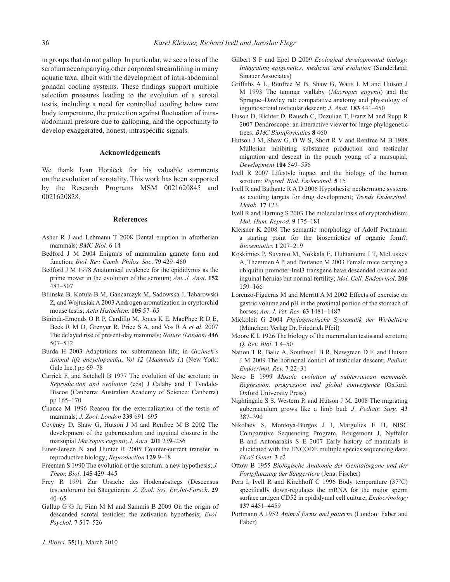in groups that do not gallop. In particular, we see a loss of the scrotum accompanying other corporeal streamlining in many aquatic taxa, albeit with the development of intra-abdominal gonadal cooling systems. These findings support multiple selection pressures leading to the evolution of a scrotal testis, including a need for controlled cooling below core body temperature, the protection against fluctuation of intraabdominal pressure due to galloping, and the opportunity to develop exaggerated, honest, intraspecific signals.

#### **Acknowledgements**

We thank Ivan Horáček for his valuable comments on the evolution of scrotality. This work has been supported by the Research Programs MSM 0021620845 and 0021620828.

#### **References**

- Asher R J and Lehmann T 2008 Dental eruption in afrotherian mammals; *BMC Biol.* **6** 14
- Bedford J M 2004 Enigmas of mammalian gamete form and function; *Biol. Rev. Camb. Philos. Soc*. **79** 429–460
- Bedford J M 1978 Anatomical evidence for the epididymis as the prime mover in the evolution of the scrotum; *Am. J. Anat*. **152** 483–507
- Bilinska B, Kotula B M, Gancarczyk M, Sadowska J, Tabarowski Z, and Wojtusiak A 2003 Androgen aromatization in cryptorchid mouse testis; *Acta Histochem*. **105** 57–65
- Bininda-Emonds O R P, Cardillo M, Jones K E, MacPhee R D E, Beck R M D, Grenyer R, Price S A, and Vos R A *et al*. 2007 The delayed rise of present-day mammals; *Nature (London)* **446** 507–512
- Burda H 2003 Adaptations for subterranean life; in *Grzimek´s Animal life encyclopaedia*, *Vol 12* (*Mammals I*.) (New York: Gale Inc.) pp 69–78
- Carrick F, and Setchell B 1977 The evolution of the scrotum; in *Reproduction and evolution* (eds) J Calaby and T Tyndale-Biscoe (Canberra: Australian Academy of Science: Canberra) pp 165–170
- Chance M 1996 Reason for the externalization of the testis of mammals; *J. Zool. London* **239** 691–695
- Coveney D, Shaw G, Hutson J M and Renfree M B 2002 The development of the gubernaculum and inguinal closure in the marsupial *Macropus eugenii*; *J. Anat.* **201** 239–256
- Einer-Jensen N and Hunter R 2005 Counter-current transfer in reproductive biology; *Reproduction* **129** 9–18
- Freeman S 1990 The evolution of the scrotum: a new hypothesis; *J. Theor. Biol*. **145** 429–445
- Frey R 1991 Zur Ursache des Hodenabstiegs (Descensus testiculorum) bei Säugetieren; *Z. Zool. Sys. Evolut-Forsch*. **29** 40–65
- Gallup G G Jr, Finn M M and Sammis B 2009 On the origin of descended scrotal testicles: the activation hypothesis; *Evol. Psychol*. **7** 517–526
- Gilbert S F and Epel D 2009 *Ecological developmental biology. Integrating epigenetics, medicine and evolution* (Sunderland: Sinauer Associates)
- Griffiths A L, Renfree M B, Shaw G, Watts L M and Hutson J M 1993 The tammar wallaby (*Macropus eugenii*) and the Sprague–Dawley rat: comparative anatomy and physiology of inguinoscrotal testicular descent; *J. Anat.* **183** 441–450
- Huson D, Richter D, Rausch C, Dezulian T, Franz M and Rupp R 2007 Dendroscope: an interactive viewer for large phylogenetic trees; *BMC Bioinformatics* **8** 460
- Hutson J M, Shaw G, O W S, Short R V and Renfree M B 1988 Müllerian inhibiting substance production and testicular migration and descent in the pouch young of a marsupial; *Development* **104** 549–556
- Ivell R 2007 Lifestyle impact and the biology of the human scrotum; *Reprod. Biol. Endocrinol.* **5** 15
- Ivell R and Bathgate R A D 2006 Hypothesis: neohormone systems as exciting targets for drug development; *Trends Endocrinol. Metab*. **17** 123
- Ivell R and Hartung S 2003 The molecular basis of cryptorchidism; *Mol. Hum. Reprod*. **9** 175–181
- Kleisner K 2008 The semantic morphology of Adolf Portmann: a starting point for the biosemiotics of organic form?; *Biosemiotics* **1** 207–219
- Koskimies P, Suvanto M, Nokkala E, Huhtaniemi I T, McLuskey A, Themmen A P, and Poutanen M 2003 Female mice carrying a ubiquitin promoter-Insl3 transgene have descended ovaries and inguinal hernias but normal fertility; *Mol. Cell. Endocrinol*. **206** 159–166
- Lorenzo-Figueras M and Merritt A M 2002 Effects of exercise on gastric volume and pH in the proximal portion of the stomach of horses; *Am. J. Vet. Res*. **63** 1481–1487
- Mickoleit G 2004 *Phylogenetische Systematik der Wirbeltiere* (München: Verlag Dr. Friedrich Pfeil)
- Moore K L 1926 The biology of the mammalian testis and scrotum; *Q. Rev. Biol*. **1** 4–50
- Nation T R, Balic A, Southwell B R, Newgreen D F, and Hutson J M 2009 The hormonal control of testicular descent; *Pediatr. Endocrinol. Rev.* **7** 22–31
- Nevo E 1999 *Mosaic evolution of subterranean mammals. Regression, progression and global convergence* (Oxford: Oxford University Press)
- Nightingale S S, Western P, and Hutson J M. 2008 The migrating gubernaculum grows like a limb bud; *J*. *Pediatr. Surg*. **43** 387–390
- Nikolaev S, Montoya-Burgos J I, Margulies E H, NISC Comparative Sequencing Program, Rougemont J, Nyffeler B and Antonarakis S E 2007 Early history of mammals is elucidated with the ENCODE multiple species sequencing data; *PLoS Genet*. **3** e2
- Ottow B 1955 *Biologische Anatomie der Genitalorgane und der Fortpfl anzung der Säugertiere* (Jena: Fischer)
- Pera I, Ivell R and Kirchhoff C 1996 Body temperature (37°C) specifically down-regulates the mRNA for the major sperm surface antigen CD52 in epididymal cell culture; *Endocrinology* **137** 4451–4459
- Portmann A 1952 *Animal forms and patterns* (London: Faber and Faber)